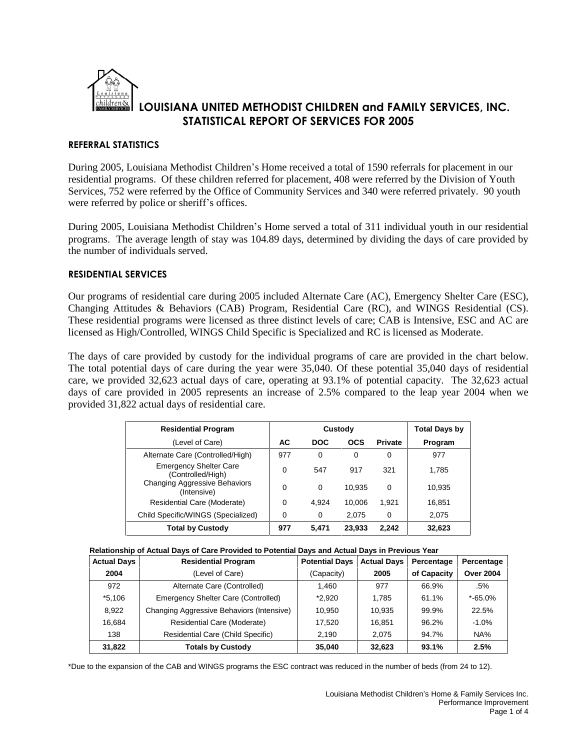

# **REFERRAL STATISTICS**

During 2005, Louisiana Methodist Children's Home received a total of 1590 referrals for placement in our residential programs. Of these children referred for placement, 408 were referred by the Division of Youth Services, 752 were referred by the Office of Community Services and 340 were referred privately. 90 youth were referred by police or sheriff's offices.

During 2005, Louisiana Methodist Children's Home served a total of 311 individual youth in our residential programs. The average length of stay was 104.89 days, determined by dividing the days of care provided by the number of individuals served.

## **RESIDENTIAL SERVICES**

Our programs of residential care during 2005 included Alternate Care (AC), Emergency Shelter Care (ESC), Changing Attitudes & Behaviors (CAB) Program, Residential Care (RC), and WINGS Residential (CS). These residential programs were licensed as three distinct levels of care; CAB is Intensive, ESC and AC are licensed as High/Controlled, WINGS Child Specific is Specialized and RC is licensed as Moderate.

The days of care provided by custody for the individual programs of care are provided in the chart below. The total potential days of care during the year were 35,040. Of these potential 35,040 days of residential care, we provided 32,623 actual days of care, operating at 93.1% of potential capacity. The 32,623 actual days of care provided in 2005 represents an increase of 2.5% compared to the leap year 2004 when we provided 31,822 actual days of residential care.

| <b>Residential Program</b>                         |     | Custody    | <b>Total Days by</b> |                |         |
|----------------------------------------------------|-----|------------|----------------------|----------------|---------|
| (Level of Care)                                    | AC. | <b>DOC</b> | <b>OCS</b>           | <b>Private</b> | Program |
| Alternate Care (Controlled/High)                   | 977 | $\Omega$   | 0                    | 0              | 977     |
| <b>Emergency Shelter Care</b><br>(Controlled/High) | 0   | 547        | 917                  | 321            | 1,785   |
| Changing Aggressive Behaviors<br>(Intensive)       | 0   | 0          | 10.935               | $\Omega$       | 10.935  |
| Residential Care (Moderate)                        | 0   | 4.924      | 10.006               | 1.921          | 16.851  |
| Child Specific/WINGS (Specialized)                 | 0   | 0          | 2.075                | 0              | 2,075   |
| <b>Total by Custody</b>                            | 977 | 5.471      | 23,933               | 2,242          | 32,623  |

| Relationship of Actual Days of Care Provided to Potential Days and Actual Days in Previous Year |  |
|-------------------------------------------------------------------------------------------------|--|
|                                                                                                 |  |

| <b>Actual Days</b> | <b>Residential Program</b>                | <b>Potential Days</b> | <b>Actual Days</b> | Percentage  | Percentage       |
|--------------------|-------------------------------------------|-----------------------|--------------------|-------------|------------------|
| 2004               | (Level of Care)                           | (Capacity)            | 2005               | of Capacity | <b>Over 2004</b> |
| 972                | Alternate Care (Controlled)               | 1.460                 | 977                | 66.9%       | .5%              |
| *5.106             | Emergency Shelter Care (Controlled)       | $*2.920$              | 1.785              | 61.1%       | $*$ -65.0%       |
| 8,922              | Changing Aggressive Behaviors (Intensive) | 10.950                | 10.935             | 99.9%       | 22.5%            |
| 16,684             | Residential Care (Moderate)               | 17.520                | 16,851             | 96.2%       | $-1.0%$          |
| 138                | <b>Residential Care (Child Specific)</b>  | 2.190                 | 2.075              | 94.7%       | NA%              |
| 31,822             | <b>Totals by Custody</b>                  | 35,040                | 32,623             | 93.1%       | 2.5%             |

\*Due to the expansion of the CAB and WINGS programs the ESC contract was reduced in the number of beds (from 24 to 12).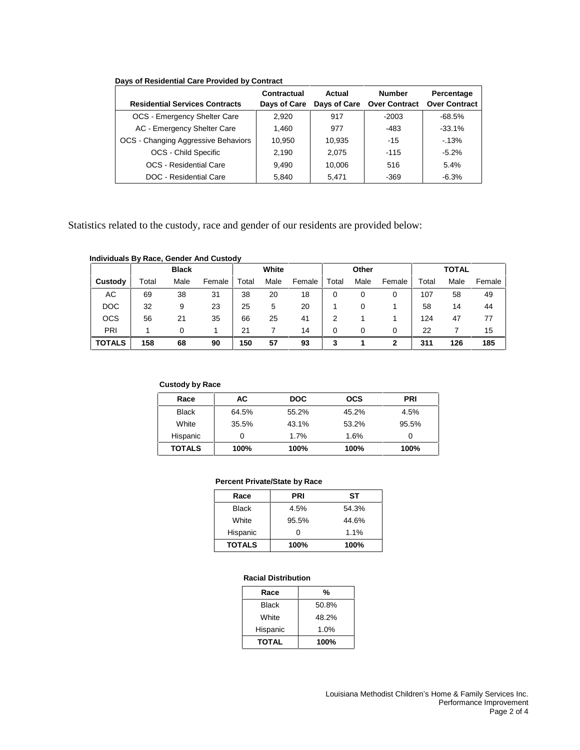| <b>Residential Services Contracts</b> | Contractual<br>Days of Care | Actual | <b>Number</b><br>Days of Care Over Contract | Percentage<br><b>Over Contract</b> |
|---------------------------------------|-----------------------------|--------|---------------------------------------------|------------------------------------|
| OCS - Emergency Shelter Care          | 2.920                       | 917    | $-2003$                                     | -68.5%                             |
| AC - Emergency Shelter Care           | 1,460                       | 977    | $-483$                                      | $-33.1%$                           |
| OCS - Changing Aggressive Behaviors   | 10,950                      | 10,935 | $-15$                                       | $-13%$                             |
| <b>OCS - Child Specific</b>           | 2.190                       | 2.075  | $-115$                                      | $-5.2\%$                           |
| OCS - Residential Care                | 9.490                       | 10,006 | 516                                         | 5.4%                               |
| <b>DOC</b> - Residential Care         | 5.840                       | 5.471  | $-369$                                      | $-6.3\%$                           |

Statistics related to the custody, race and gender of our residents are provided below:

#### **Individuals By Race, Gender And Custody**

|               |       | <b>Black</b> |        | White |      | Other  |       |      | <b>TOTAL</b> |       |      |        |
|---------------|-------|--------------|--------|-------|------|--------|-------|------|--------------|-------|------|--------|
| Custody       | Total | Male         | Female | Total | Male | Female | Total | Male | Female       | Total | Male | Female |
| АC            | 69    | 38           | 31     | 38    | 20   | 18     |       | 0    | 0            | 107   | 58   | 49     |
| <b>DOC</b>    | 32    | 9            | 23     | 25    | 5    | 20     |       | 0    |              | 58    | 14   | 44     |
| <b>OCS</b>    | 56    | 21           | 35     | 66    | 25   | 41     |       |      |              | 124   | 47   | 77     |
| PRI           |       | 0            |        | 21    |      | 14     | 0     | 0    | 0            | 22    |      | 15     |
| <b>TOTALS</b> | 158   | 68           | 90     | 150   | 57   | 93     | 3     |      | 2            | 311   | 126  | 185    |

#### **Custody by Race**

| Race          | АC    | <b>DOC</b> | <b>OCS</b> | <b>PRI</b> |
|---------------|-------|------------|------------|------------|
| <b>Black</b>  | 64.5% | 55.2%      | 45.2%      | 4.5%       |
| White         | 35.5% | 43.1%      | 53.2%      | 95.5%      |
| Hispanic      | 0     | 1.7%       | 1.6%       | 0          |
| <b>TOTALS</b> | 100%  | 100%       | 100%       | 100%       |

#### **Percent Private/State by Race**

| Race          | <b>PRI</b> | SТ    |
|---------------|------------|-------|
| <b>Black</b>  | 4.5%       | 54.3% |
| White         | 95.5%      | 44.6% |
| Hispanic      |            | 1.1%  |
| <b>TOTALS</b> | 100%       | 100%  |

#### **Racial Distribution**

| Race         | %     |
|--------------|-------|
| <b>Black</b> | 50.8% |
| White        | 48.2% |
| Hispanic     | 1.0%  |
| <b>TOTAL</b> | 100%  |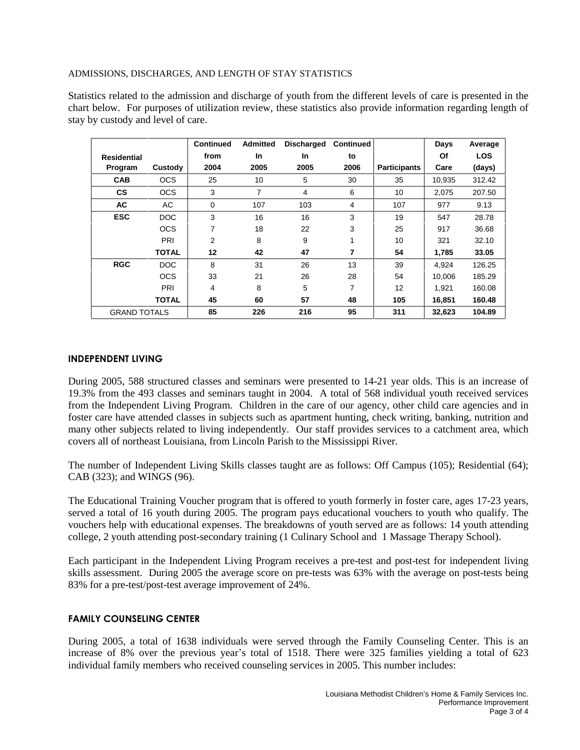### ADMISSIONS, DISCHARGES, AND LENGTH OF STAY STATISTICS

Statistics related to the admission and discharge of youth from the different levels of care is presented in the chart below. For purposes of utilization review, these statistics also provide information regarding length of stay by custody and level of care.

|                     |              | <b>Continued</b> | <b>Admitted</b> | Discharged | <b>Continued</b> |                     | Days   | Average    |
|---------------------|--------------|------------------|-----------------|------------|------------------|---------------------|--------|------------|
| <b>Residential</b>  |              | from             | <b>In</b>       | <b>In</b>  | to               |                     | Οf     | <b>LOS</b> |
| Program             | Custody      | 2004             | 2005            | 2005       | 2006             | <b>Participants</b> | Care   | (days)     |
| <b>CAB</b>          | <b>OCS</b>   | 25               | 10              | 5          | 30               | 35                  | 10,935 | 312.42     |
| <b>CS</b>           | <b>OCS</b>   | 3                | $\overline{7}$  | 4          | 6                | 10                  | 2,075  | 207.50     |
| <b>AC</b>           | AC           | $\mathbf 0$      | 107             | 103        | 4                | 107                 | 977    | 9.13       |
| <b>ESC</b>          | DOC          | 3                | 16              | 16         | 3                | 19                  | 547    | 28.78      |
|                     | <b>OCS</b>   | 7                | 18              | 22         | 3                | 25                  | 917    | 36.68      |
|                     | PRI          | 2                | 8               | 9          | 1                | 10                  | 321    | 32.10      |
|                     | <b>TOTAL</b> | 12               | 42              | 47         | $\overline{7}$   | 54                  | 1,785  | 33.05      |
| <b>RGC</b>          | DOC          | 8                | 31              | 26         | 13               | 39                  | 4.924  | 126.25     |
|                     | <b>OCS</b>   | 33               | 21              | 26         | 28               | 54                  | 10,006 | 185.29     |
|                     | PRI          | 4                | 8               | 5          | 7                | 12                  | 1.921  | 160.08     |
|                     | <b>TOTAL</b> | 45               | 60              | 57         | 48               | 105                 | 16,851 | 160.48     |
| <b>GRAND TOTALS</b> |              | 85               | 226             | 216        | 95               | 311                 | 32,623 | 104.89     |

# **INDEPENDENT LIVING**

During 2005, 588 structured classes and seminars were presented to 14-21 year olds. This is an increase of 19.3% from the 493 classes and seminars taught in 2004. A total of 568 individual youth received services from the Independent Living Program. Children in the care of our agency, other child care agencies and in foster care have attended classes in subjects such as apartment hunting, check writing, banking, nutrition and many other subjects related to living independently. Our staff provides services to a catchment area, which covers all of northeast Louisiana, from Lincoln Parish to the Mississippi River.

The number of Independent Living Skills classes taught are as follows: Off Campus (105); Residential (64); CAB (323); and WINGS (96).

The Educational Training Voucher program that is offered to youth formerly in foster care, ages 17-23 years, served a total of 16 youth during 2005. The program pays educational vouchers to youth who qualify. The vouchers help with educational expenses. The breakdowns of youth served are as follows: 14 youth attending college, 2 youth attending post-secondary training (1 Culinary School and 1 Massage Therapy School).

Each participant in the Independent Living Program receives a pre-test and post-test for independent living skills assessment. During 2005 the average score on pre-tests was 63% with the average on post-tests being 83% for a pre-test/post-test average improvement of 24%.

### **FAMILY COUNSELING CENTER**

During 2005, a total of 1638 individuals were served through the Family Counseling Center. This is an increase of 8% over the previous year's total of 1518. There were 325 families yielding a total of 623 individual family members who received counseling services in 2005. This number includes: